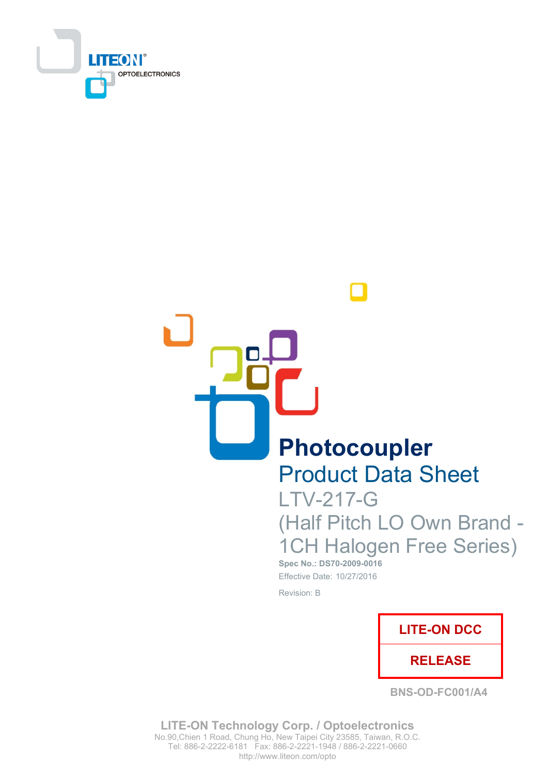

Photocoupler

**Product Data Sheet** 

**LTV-217-G** (Half Pitch LO Own Brand -**1CH Halogen Free Series)** 

Spec No.: DS70-2009-0016 Effective Date: 10/27/2016

Revision: B



**BNS-OD-FC001/A4** 

**LITE-ON Technology Corp. / Optoelectronics** No.90, Chien 1 Road, Chung Ho, New Taipei City 23585, Taiwan, R.O.C. Tel: 886-2-2222-6181 Fax: 886-2-2221-1948 / 886-2-2221-0660 http://www.liteon.com/opto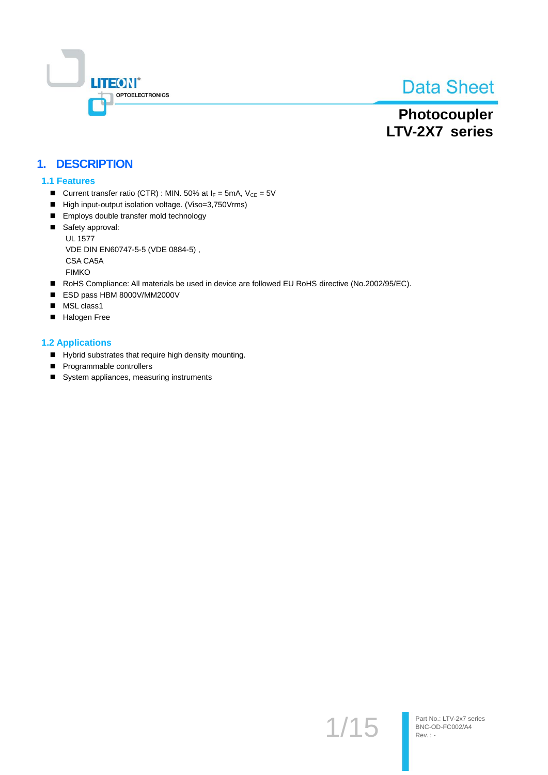

# Photocoupler LTV-2X7 series

## 1. DESCRIPTION

#### 1.1 Features

- Current transfer ratio (CTR) : MIN. 50% at  $I_F = 5mA$ ,  $V_{CE} = 5V$
- High input-output isolation voltage. (Viso=3,750Vrms)
- Employs double transfer mold technology
- Safety approval: **UL 1577** VDE DIN EN60747-5-5 (VDE 0884-5), CSA CA5A **FIMKO**
- RoHS Compliance: All materials be used in device are followed EU RoHS directive (No.2002/95/EC).
- ESD pass HBM 8000V/MM2000V
- MSL class1
- Halogen Free

#### **1.2 Applications**

- Hybrid substrates that require high density mounting.
- Programmable controllers
- System appliances, measuring instruments

 $1/15$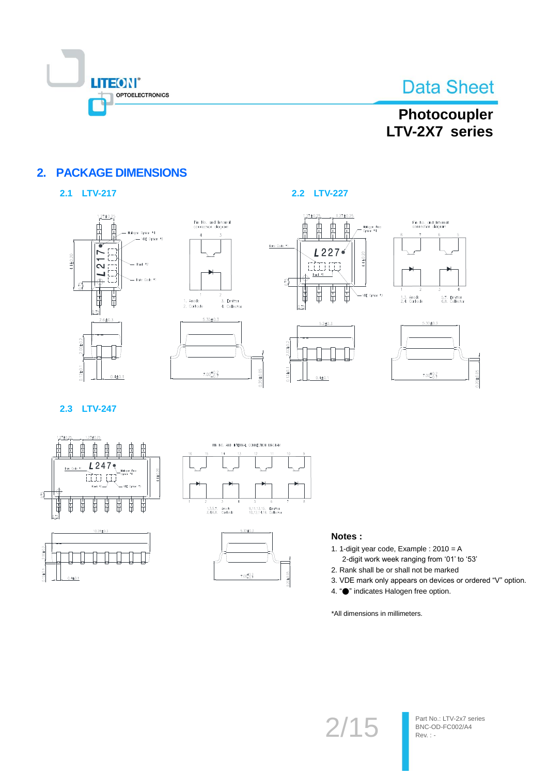

# Photocoupler LTV-2X7 series

## **2. PACKAGE DIMENSIONS**

## 2.1 LTV-217





### 2.2 LTV-227



 $2.00 + 0.2$ 

 $0.12 \pm 0.1$ 







2.3 LTV-247







#### Notes:

- 1. 1-digit year code, Example : 2010 = A 2-digit work week ranging from '01' to '53'
- 2. Rank shall be or shall not be marked
- 3. VDE mark only appears on devices or ordered "V" option.
- 4. "• indicates Halogen free option.

\*All dimensions in millimeters.

# $2/15$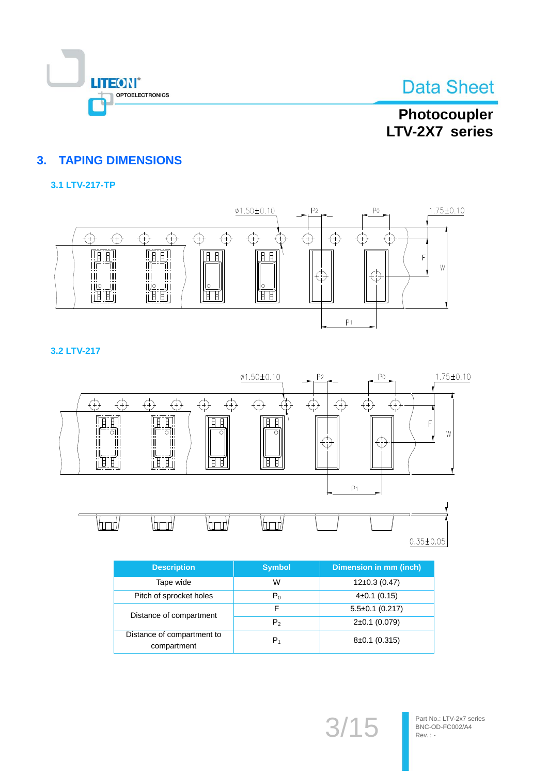

## Photocoupler LTV-2X7 series

## **3. TAPING DIMENSIONS**

## 3.1 LTV-217-TP



3.2 LTV-217



| <b>Description</b>                        | <b>Symbol</b>  | <b>Dimension in mm (inch)</b> |
|-------------------------------------------|----------------|-------------------------------|
| Tape wide                                 | W              | $12\pm0.3(0.47)$              |
| Pitch of sprocket holes                   | $P_0$          | $4\pm0.1$ (0.15)              |
| Distance of compartment                   | F              | $5.5\pm0.1$ (0.217)           |
|                                           | P <sub>2</sub> | $2\pm0.1$ (0.079)             |
| Distance of compartment to<br>compartment | P <sub>1</sub> | $8\pm0.1$ (0.315)             |

 $3/15$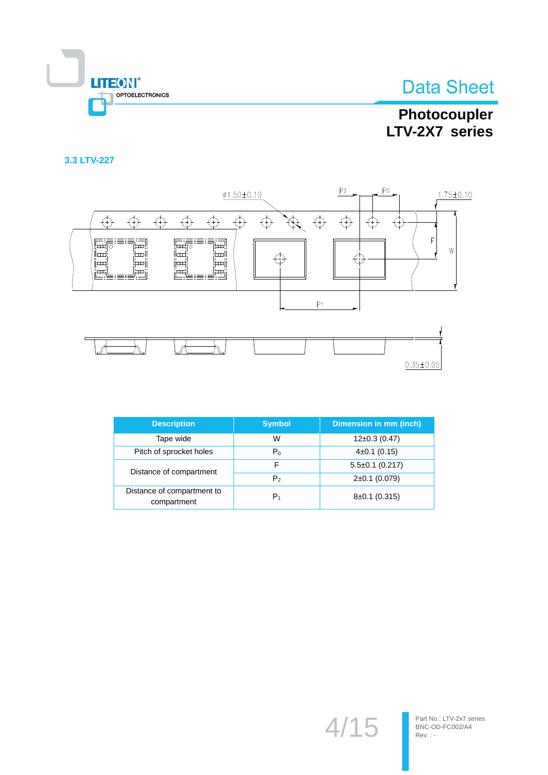

# Photocoupler LTV-2X7 series

## 3.3 LTV-227



| <b>Description</b>                        | <b>Symbol</b>  | <b>Dimension in mm (inch)</b> |
|-------------------------------------------|----------------|-------------------------------|
| Tape wide                                 | W              | $12\pm0.3(0.47)$              |
| Pitch of sprocket holes                   | $P_0$          | $4\pm0.1$ (0.15)              |
| Distance of compartment                   | F              | $5.5\pm0.1$ (0.217)           |
|                                           | P <sub>2</sub> | $2\pm0.1$ (0.079)             |
| Distance of compartment to<br>compartment | P <sub>1</sub> | $8\pm0.1$ (0.315)             |

 $4/15$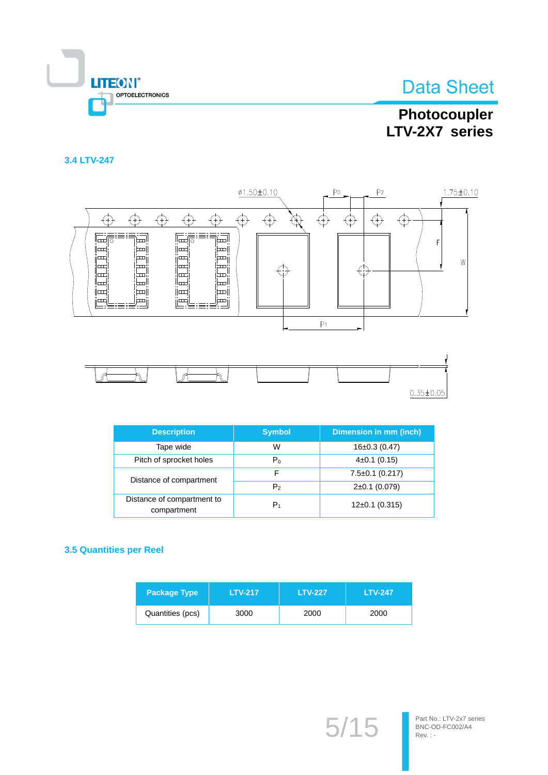

## Photocoupler LTV-2X7 series

## 3.4 LTV-247



| <b>Description</b>                        | <b>Symbol</b>  | <b>Dimension in mm (inch)</b> |
|-------------------------------------------|----------------|-------------------------------|
| Tape wide                                 | W              | $16\pm0.3(0.47)$              |
| Pitch of sprocket holes                   | $P_0$          | $4\pm0.1$ (0.15)              |
| Distance of compartment                   | F              | $7.5 \pm 0.1$ (0.217)         |
|                                           | P <sub>2</sub> | $2\pm0.1$ (0.079)             |
| Distance of compartment to<br>compartment | $P_1$          | $12\pm0.1$ (0.315)            |

### **3.5 Quantities per Reel**

| <b>Package Type</b> | <b>LTV-217</b> | <b>LTV-227</b> | <b>LTV-247</b> |
|---------------------|----------------|----------------|----------------|
| Quantities (pcs)    | 3000           | 2000           | 2000           |

 $5/15$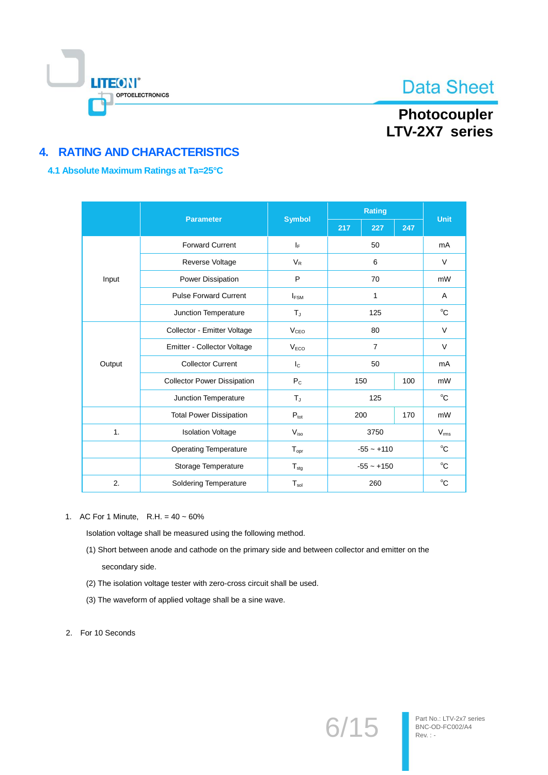

## Photocoupler LTV-2X7 series

## **4. RATING AND CHARACTERISTICS**

### 4.1 Absolute Maximum Ratings at Ta=25°C

| <b>Parameter</b>            |                                    | <b>Symbol</b>                    |                | <b>Unit</b>  |               |              |  |
|-----------------------------|------------------------------------|----------------------------------|----------------|--------------|---------------|--------------|--|
|                             |                                    |                                  | 217            | 227          | 247           |              |  |
|                             | <b>Forward Current</b>             | ΙF                               | 50             |              |               | mA           |  |
| Reverse Voltage             |                                    | $V_{R}$                          | 6              |              |               | $\vee$       |  |
| Input                       | Power Dissipation                  | P                                |                | 70           |               | mW           |  |
|                             | <b>Pulse Forward Current</b>       | $I_{FSM}$                        |                | 1            |               |              |  |
|                             | Junction Temperature               | $T_{\rm J}$                      | 125            |              |               | $^{\circ}C$  |  |
|                             | Collector - Emitter Voltage        |                                  | 80             |              |               | $\vee$       |  |
| Emitter - Collector Voltage |                                    | V <sub>ECO</sub>                 | $\overline{7}$ |              | V             |              |  |
| Output                      | <b>Collector Current</b>           | $I_{\rm C}$                      |                | 50           |               | mA           |  |
|                             | <b>Collector Power Dissipation</b> | $P_{C}$                          | 150            |              | 100           | mW           |  |
|                             | Junction Temperature               | T,                               | 125            |              | $^{\circ}C$   |              |  |
|                             | <b>Total Power Dissipation</b>     | $P_{\text{tot}}$                 | 200            |              | 170           | mW           |  |
| 1.                          | <b>Isolation Voltage</b>           | $V_{\text{iso}}$                 | 3750           |              | $V_{\rm rms}$ |              |  |
|                             | <b>Operating Temperature</b>       | $T_{\text{opt}}$                 |                | $-55 - +110$ |               | $^{\circ}$ C |  |
|                             | Storage Temperature                | $-55 - +150$<br>$T_{\text{stg}}$ |                |              | $^{\circ}C$   |              |  |
| 2.                          | Soldering Temperature              | $T_{sol}$                        |                | 260          |               | °C           |  |

1. AC For 1 Minute, R.H. =  $40 \sim 60\%$ 

Isolation voltage shall be measured using the following method.

- (1) Short between anode and cathode on the primary side and between collector and emitter on the secondary side.
- (2) The isolation voltage tester with zero-cross circuit shall be used.
- (3) The waveform of applied voltage shall be a sine wave.
- 2. For 10 Seconds

 $6/15$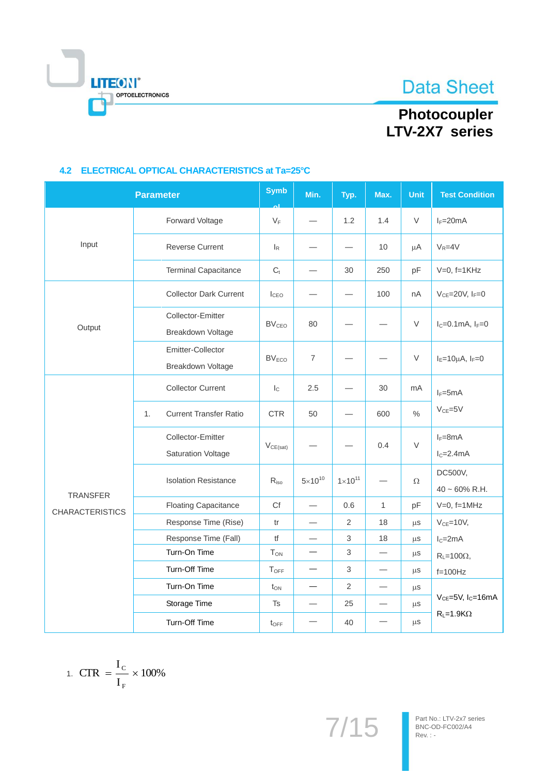# **LITEON®** OPTOELECTRONICS

# Photocoupler<br>LTV-2X7 series

|                                           | <b>Parameter</b>                                      | <b>Symb</b>               | Min.             | Typ.               | Max.                     | Unit          | <b>Test Condition</b>                |  |
|-------------------------------------------|-------------------------------------------------------|---------------------------|------------------|--------------------|--------------------------|---------------|--------------------------------------|--|
|                                           | Forward Voltage                                       | $V_F$                     |                  | 1.2                | 1.4                      | V             | $I_F=20mA$                           |  |
| Input                                     | <b>Reverse Current</b>                                | $\mathsf{I}_{\mathsf{R}}$ |                  |                    | 10                       | μA            | $V_R = 4V$                           |  |
|                                           | <b>Terminal Capacitance</b>                           | $C_t$                     | —                | 30                 | 250                      | pF            | $V=0$ , $f=1KHz$                     |  |
|                                           | <b>Collector Dark Current</b>                         | ICEO                      |                  |                    | 100                      | nA            | $V_{CE} = 20V, I_F = 0$              |  |
| Output                                    | <b>Collector-Emitter</b><br>Breakdown Voltage         | <b>BV<sub>CEO</sub></b>   | 80               |                    |                          | V             | $I_C = 0.1$ mA, $I_F = 0$            |  |
|                                           | Emitter-Collector<br>Breakdown Voltage                | BV <sub>ECO</sub>         | $\overline{7}$   |                    |                          | V             | $I_E=10\mu A$ , $I_F=0$              |  |
|                                           | <b>Collector Current</b>                              | $I_{\rm C}$               | 2.5              |                    | 30                       | mA            | $I_F = 5mA$                          |  |
|                                           | <b>Current Transfer Ratio</b><br>1.                   | <b>CTR</b>                | 50               |                    | 600                      | $\frac{0}{0}$ | $V_{CE} = 5V$                        |  |
|                                           | <b>Collector-Emitter</b><br><b>Saturation Voltage</b> | $V_{CE(sat)}$             |                  |                    | 0.4                      | $\vee$        | $I_F = 8mA$<br>$IC=2.4mA$            |  |
|                                           | <b>Isolation Resistance</b>                           | $R_{iso}$                 | $5\times10^{10}$ | $1 \times 10^{11}$ |                          | Ω             | DC500V,<br>$40 \sim 60\%$ R.H.       |  |
| <b>TRANSFER</b><br><b>CHARACTERISTICS</b> | <b>Floating Capacitance</b>                           | Cf                        | $\equiv$         | 0.6                | $\mathbf{1}$             | pF            | $V=0$ , f=1MHz                       |  |
|                                           | Response Time (Rise)                                  | tr                        |                  | $\overline{2}$     | 18                       | $\mu$ S       | $V_{CE} = 10V$ ,                     |  |
|                                           | Response Time (Fall)                                  | tf                        |                  | 3                  | 18                       | $\mu s$       | $IC=2mA$                             |  |
|                                           | Turn-On Time                                          | <b>T</b> <sub>ON</sub>    |                  | $\sqrt{3}$         |                          | $\mu$ S       | $R_L = 100\Omega$ ,                  |  |
|                                           | Turn-Off Time                                         | TOFF                      |                  | 3                  |                          | μS            | $f=100Hz$                            |  |
|                                           | Turn-On Time                                          | $t_{ON}$                  | $\equiv$         | $\overline{2}$     | $\overline{\phantom{0}}$ | $\mu$ S       |                                      |  |
|                                           | Storage Time                                          | Ts                        |                  | 25                 | -                        | $\mu$ S       | $V_{CE} = 5V$ , I <sub>C</sub> =16mA |  |
|                                           | Turn-Off Time                                         | $t_{\text{OFF}}$          |                  | 40                 |                          | $\mu$ S       | $R_L = 1.9K\Omega$                   |  |

## 4.2 ELECTRICAL OPTICAL CHARACTERISTICS at Ta=25°C

$$
1. \ \mathrm{CTR} = \frac{I_{\mathrm{C}}}{I_{\mathrm{F}}} \times 100\%
$$

 $7/15$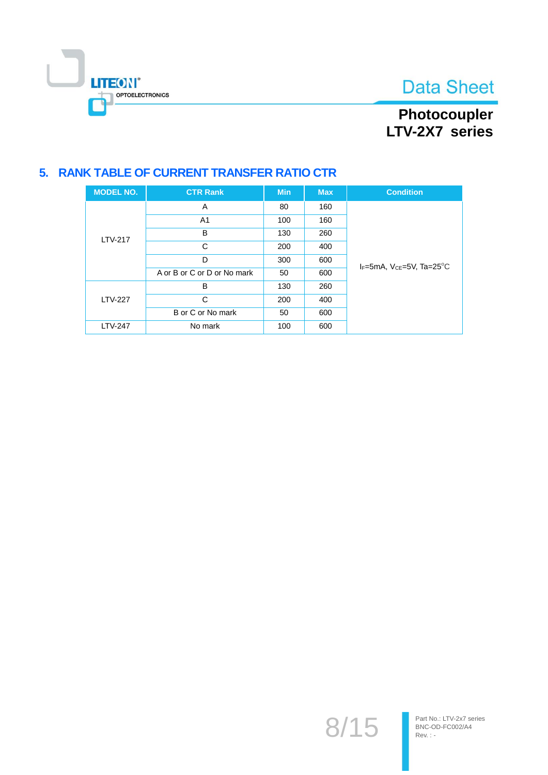

# Photocoupler<br>LTV-2X7 series

## 5. RANK TABLE OF CURRENT TRANSFER RATIO CTR

| <b>MODEL NO.</b> | <b>CTR Rank</b>             | <b>Min</b> | <b>Max</b> | <b>Condition</b>                               |
|------------------|-----------------------------|------------|------------|------------------------------------------------|
|                  | A                           | 80         | 160        |                                                |
|                  | A <sub>1</sub>              | 100        | 160        |                                                |
| <b>LTV-217</b>   | в                           | 130        | 260        |                                                |
|                  | С                           | 200        | 400        |                                                |
|                  | D                           | 300        | 600        | $I_F$ =5mA, $V_{CF}$ =5V, Ta=25 <sup>o</sup> C |
|                  | A or B or C or D or No mark | 50         | 600        |                                                |
|                  | в                           | 130        | 260        |                                                |
| <b>LTV-227</b>   | С                           | 200        | 400        |                                                |
|                  | B or C or No mark           | 50         | 600        |                                                |
| <b>LTV-247</b>   | No mark                     | 100        | 600        |                                                |

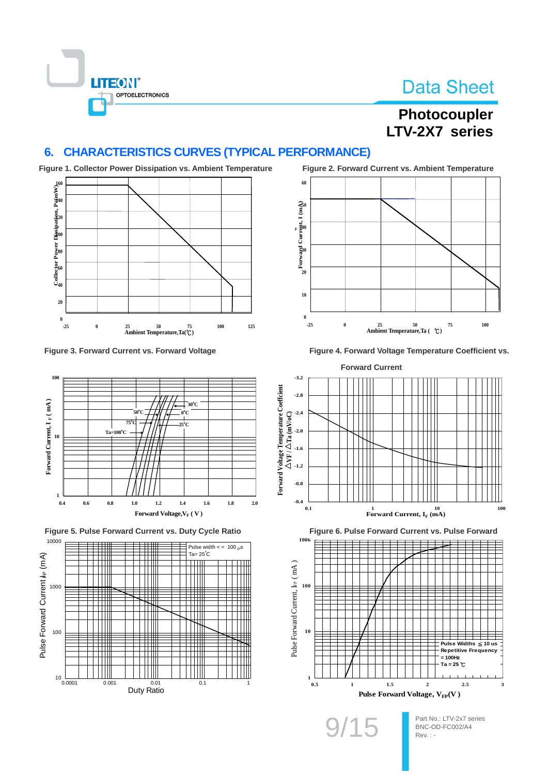

# Photocoupler LTV-2X7 series

#### **CHARACTERISTICS CURVES (TYPICAL PERFORMANCE)**  $6.$



Figure 3. Forward Current vs. Forward Voltage



Figure 5. Pulse Forward Current vs. Duty Cycle Ratio





Figure 4. Forward Voltage Temperature Coefficient vs.



Figure 6. Pulse Forward Current vs. Pulse Forward

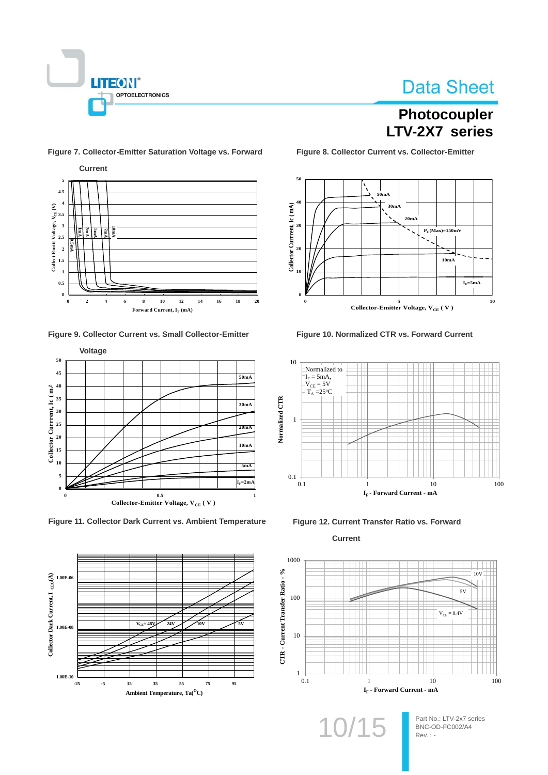

## Photocoupler LTV-2X7 series

Current  $\overline{\mathbf{s}}$  $4.5$  $\overline{4}$ Collect-Emitt Voltage,  $V_{CE}(V)$ <br>  $\therefore$   $\therefore$   $\therefore$   $\therefore$   $\therefore$   $\therefore$   $\therefore$   $\therefore$   $\therefore$   $\therefore$   $\therefore$   $\therefore$   $\therefore$   $\therefore$   $\therefore$   $\therefore$   $\therefore$   $\therefore$   $\therefore$   $\therefore$   $\therefore$   $\therefore$   $\therefore$   $\therefore$   $\therefore$   $\therefore$   $\therefore$   $\therefore$   $\therefore$   $\therefore$   $\therefore$   $\$ Ĕ ¥ Ê  $\overline{1}$  $0.5$  $\overline{0}$  $\overline{2}$  $\overline{16}$  $12^{12}$  $14$  $16$  $18$  $\mathbf{0}$  $\overline{A}$  $\overline{\mathbf{x}}$  $\overline{2}$ Forward Current,  $I_F$  (mA)

Figure 7. Collector-Emitter Saturation Voltage vs. Forward

#### Figure 9. Collector Current vs. Small Collector-Emitter



Figure 11. Collector Dark Current vs. Ambient Temperature



Figure 8. Collector Current vs. Collector-Emitter



Figure 10. Normalized CTR vs. Forward Current







10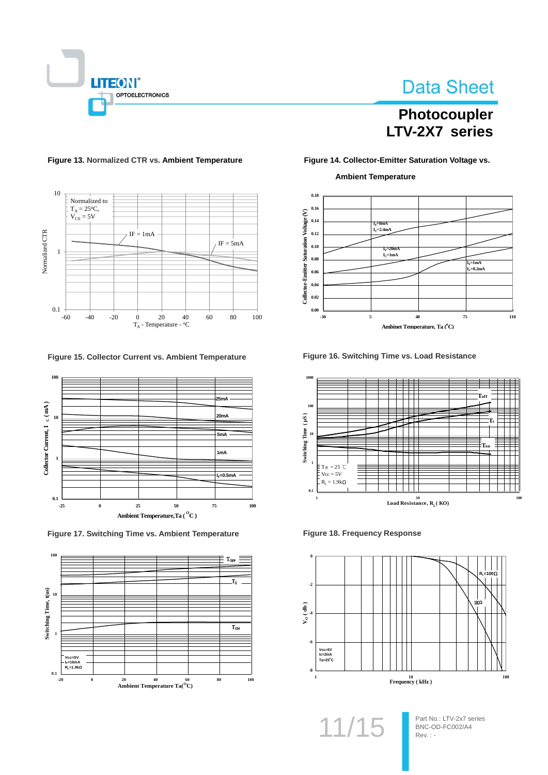

# Photocoupler LTV-2X7 series

## $10\,$ Normalized to

Figure 13. Normalized CTR vs. Ambient Temperature



Figure 15. Collector Current vs. Ambient Temperature



Figure 17. Switching Time vs. Ambient Temperature



#### Figure 14. Collector-Emitter Saturation Voltage vs.

#### **Ambient Temperature**



Figure 16. Switching Time vs. Load Resistance



**Figure 18. Frequency Response** 



 $11/1!$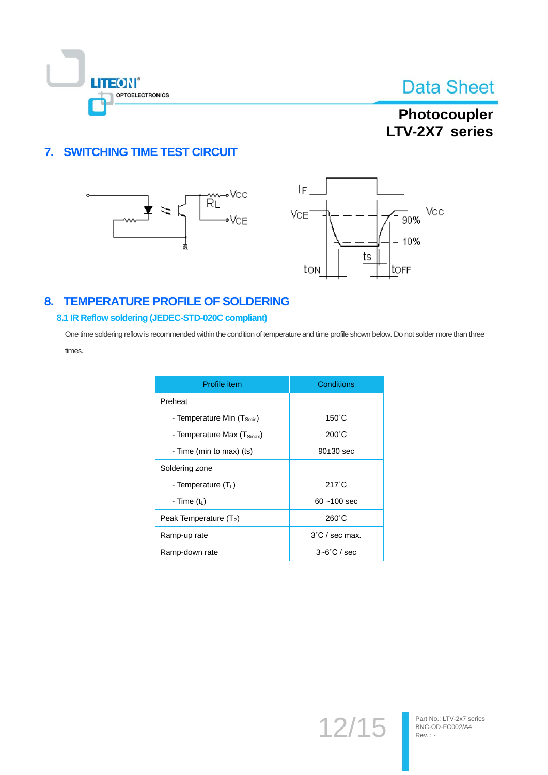

## Photocoupler LTV-2X7 series

## 7. SWITCHING TIME TEST CIRCUIT





## 8. TEMPERATURE PROFILE OF SOLDERING

#### 8.1 IR Reflow soldering (JEDEC-STD-020C compliant)

One time soldering reflow is recommended within the condition of temperature and time profile shown below. Do not solder more than three times.

| Profile item                           | Conditions               |
|----------------------------------------|--------------------------|
| Preheat                                |                          |
| - Temperature Min (T <sub>Smin</sub> ) | $150^{\circ}$ C          |
| - Temperature Max $(T_{\text{Smax}})$  | $200^{\circ}$ C          |
| - Time (min to max) (ts)               | $90±30$ sec              |
| Soldering zone                         |                          |
| - Temperature $(TL)$                   | $217^{\circ}$ C          |
| - Time (t <sub>L</sub> )               | $60 - 100$ sec           |
| Peak Temperature (T <sub>P</sub> )     | $260^{\circ}$ C          |
| Ramp-up rate                           | $3^{\circ}$ C / sec max. |
| Ramp-down rate                         | $3-6^{\circ}$ C / sec    |

 $12/15$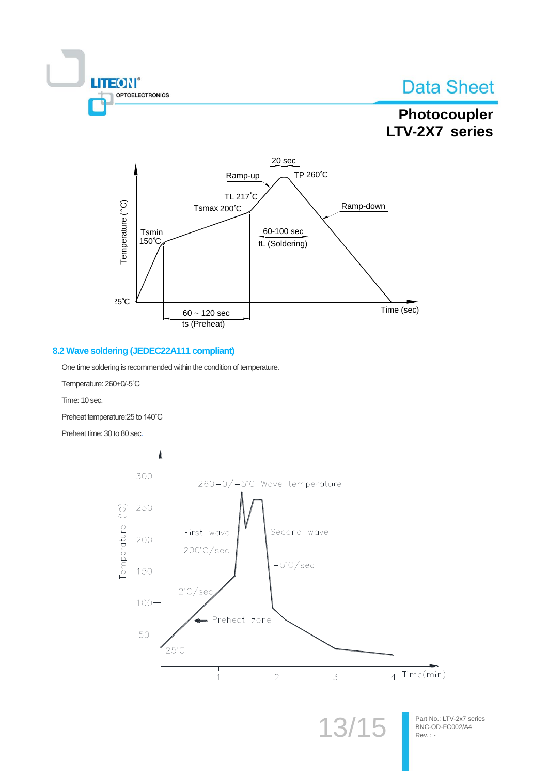

## Photocoupler LTV-2X7 series



### 8.2 Wave soldering (JEDEC22A111 compliant)

One time soldering is recommended within the condition of temperature.

Temperature: 260+0/-5°C

Time: 10 sec.

Preheat temperature: 25 to 140°C

Preheat time: 30 to 80 sec.

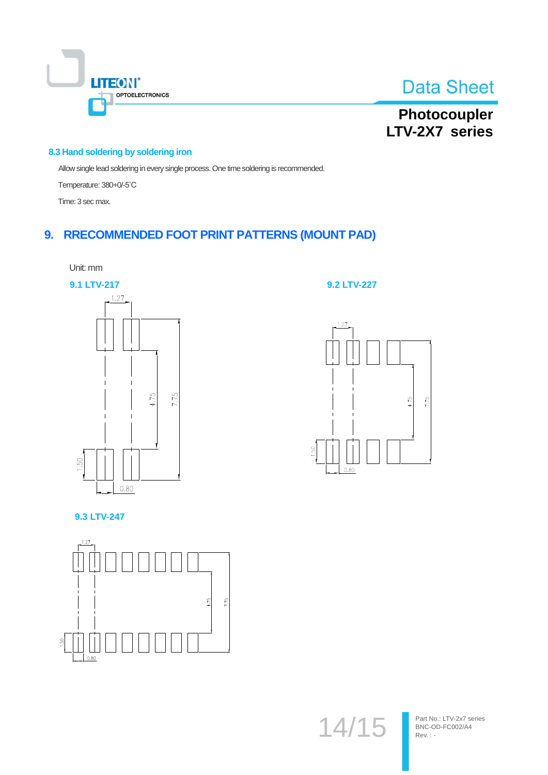



# Photocoupler<br>LTV-2X7 series

#### 8.3 Hand soldering by soldering iron

Allow single lead soldering in every single process. One time soldering is recommended.

Temperature: 380+0/-5°C

Time: 3 sec max.

## 9. RRECOMMENDED FOOT PRINT PATTERNS (MOUNT PAD)



**9.2 LTV-227** 



9.3 LTV-247